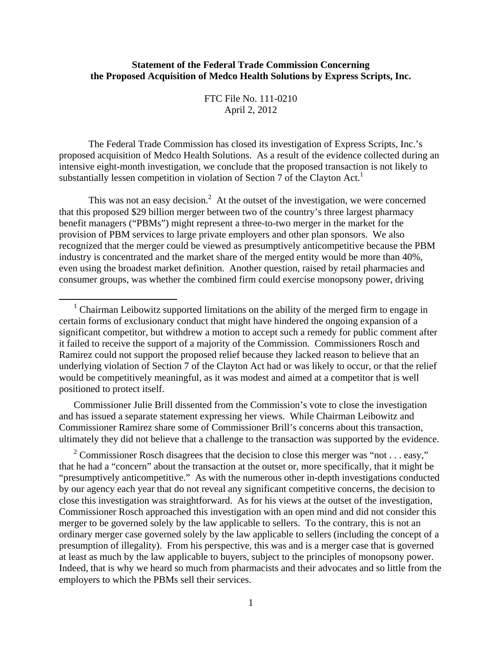## **Statement of the Federal Trade Commission Concerning the Proposed Acquisition of Medco Health Solutions by Express Scripts, Inc.**

FTC File No. 111-0210 April 2, 2012

The Federal Trade Commission has closed its investigation of Express Scripts, Inc.'s proposed acquisition of Medco Health Solutions. As a result of the evidence collected during an intensive eight-month investigation, we conclude that the proposed transaction is not likely to substantially lessen competition in violation of Section 7 of the Clayton Act.<sup>1</sup>

This was not an easy decision.<sup>2</sup> At the outset of the investigation, we were concerned that this proposed \$29 billion merger between two of the country's three largest pharmacy benefit managers ("PBMs") might represent a three-to-two merger in the market for the provision of PBM services to large private employers and other plan sponsors. We also recognized that the merger could be viewed as presumptively anticompetitive because the PBM industry is concentrated and the market share of the merged entity would be more than 40%, even using the broadest market definition. Another question, raised by retail pharmacies and consumer groups, was whether the combined firm could exercise monopsony power, driving

Commissioner Julie Brill dissented from the Commission's vote to close the investigation and has issued a separate statement expressing her views. While Chairman Leibowitz and Commissioner Ramirez share some of Commissioner Brill's concerns about this transaction, ultimately they did not believe that a challenge to the transaction was supported by the evidence.

<sup>2</sup> Commissioner Rosch disagrees that the decision to close this merger was "not . . . easy," that he had a "concern" about the transaction at the outset or, more specifically, that it might be "presumptively anticompetitive." As with the numerous other in-depth investigations conducted by our agency each year that do not reveal any significant competitive concerns, the decision to close this investigation was straightforward. As for his views at the outset of the investigation, Commissioner Rosch approached this investigation with an open mind and did not consider this merger to be governed solely by the law applicable to sellers. To the contrary, this is not an ordinary merger case governed solely by the law applicable to sellers (including the concept of a presumption of illegality). From his perspective, this was and is a merger case that is governed at least as much by the law applicable to buyers, subject to the principles of monopsony power. Indeed, that is why we heard so much from pharmacists and their advocates and so little from the employers to which the PBMs sell their services.

<sup>&</sup>lt;sup>1</sup> Chairman Leibowitz supported limitations on the ability of the merged firm to engage in certain forms of exclusionary conduct that might have hindered the ongoing expansion of a significant competitor, but withdrew a motion to accept such a remedy for public comment after it failed to receive the support of a majority of the Commission. Commissioners Rosch and Ramirez could not support the proposed relief because they lacked reason to believe that an underlying violation of Section 7 of the Clayton Act had or was likely to occur, or that the relief would be competitively meaningful, as it was modest and aimed at a competitor that is well positioned to protect itself.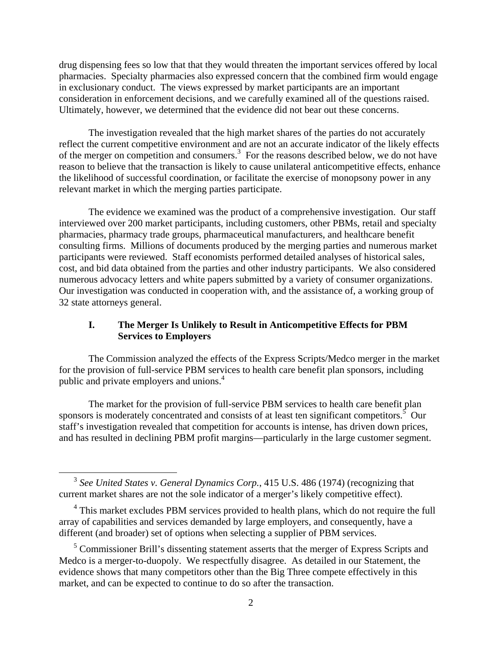drug dispensing fees so low that that they would threaten the important services offered by local pharmacies. Specialty pharmacies also expressed concern that the combined firm would engage in exclusionary conduct. The views expressed by market participants are an important consideration in enforcement decisions, and we carefully examined all of the questions raised. Ultimately, however, we determined that the evidence did not bear out these concerns.

The investigation revealed that the high market shares of the parties do not accurately reflect the current competitive environment and are not an accurate indicator of the likely effects of the merger on competition and consumers.<sup>3</sup> For the reasons described below, we do not have reason to believe that the transaction is likely to cause unilateral anticompetitive effects, enhance the likelihood of successful coordination, or facilitate the exercise of monopsony power in any relevant market in which the merging parties participate.

The evidence we examined was the product of a comprehensive investigation. Our staff interviewed over 200 market participants, including customers, other PBMs, retail and specialty pharmacies, pharmacy trade groups, pharmaceutical manufacturers, and healthcare benefit consulting firms. Millions of documents produced by the merging parties and numerous market participants were reviewed. Staff economists performed detailed analyses of historical sales, cost, and bid data obtained from the parties and other industry participants. We also considered numerous advocacy letters and white papers submitted by a variety of consumer organizations. Our investigation was conducted in cooperation with, and the assistance of, a working group of 32 state attorneys general.

# **I. The Merger Is Unlikely to Result in Anticompetitive Effects for PBM Services to Employers**

The Commission analyzed the effects of the Express Scripts/Medco merger in the market for the provision of full-service PBM services to health care benefit plan sponsors, including public and private employers and unions.<sup>4</sup>

The market for the provision of full-service PBM services to health care benefit plan sponsors is moderately concentrated and consists of at least ten significant competitors.<sup>5</sup> Our staff's investigation revealed that competition for accounts is intense, has driven down prices, and has resulted in declining PBM profit margins—particularly in the large customer segment.

 <sup>3</sup> *See United States v. General Dynamics Corp.*, 415 U.S. 486 (1974) (recognizing that current market shares are not the sole indicator of a merger's likely competitive effect).

<sup>&</sup>lt;sup>4</sup> This market excludes PBM services provided to health plans, which do not require the full array of capabilities and services demanded by large employers, and consequently, have a different (and broader) set of options when selecting a supplier of PBM services.

<sup>&</sup>lt;sup>5</sup> Commissioner Brill's dissenting statement asserts that the merger of Express Scripts and Medco is a merger-to-duopoly. We respectfully disagree. As detailed in our Statement, the evidence shows that many competitors other than the Big Three compete effectively in this market, and can be expected to continue to do so after the transaction.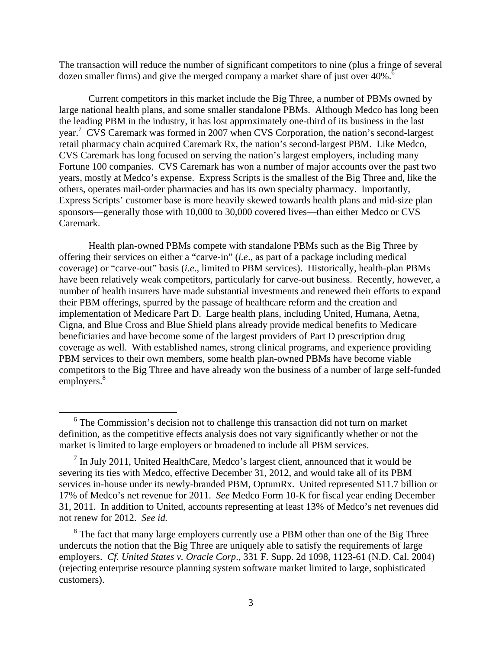The transaction will reduce the number of significant competitors to nine (plus a fringe of several dozen smaller firms) and give the merged company a market share of just over 40%.<sup>6</sup>

Current competitors in this market include the Big Three, a number of PBMs owned by large national health plans, and some smaller standalone PBMs. Although Medco has long been the leading PBM in the industry, it has lost approximately one-third of its business in the last year.7 CVS Caremark was formed in 2007 when CVS Corporation, the nation's second-largest retail pharmacy chain acquired Caremark Rx, the nation's second-largest PBM. Like Medco, CVS Caremark has long focused on serving the nation's largest employers, including many Fortune 100 companies. CVS Caremark has won a number of major accounts over the past two years, mostly at Medco's expense. Express Scripts is the smallest of the Big Three and, like the others, operates mail-order pharmacies and has its own specialty pharmacy. Importantly, Express Scripts' customer base is more heavily skewed towards health plans and mid-size plan sponsors—generally those with 10,000 to 30,000 covered lives—than either Medco or CVS Caremark.

Health plan-owned PBMs compete with standalone PBMs such as the Big Three by offering their services on either a "carve-in" (*i.e*., as part of a package including medical coverage) or "carve-out" basis (*i.e*., limited to PBM services). Historically, health-plan PBMs have been relatively weak competitors, particularly for carve-out business. Recently, however, a number of health insurers have made substantial investments and renewed their efforts to expand their PBM offerings, spurred by the passage of healthcare reform and the creation and implementation of Medicare Part D. Large health plans, including United, Humana, Aetna, Cigna, and Blue Cross and Blue Shield plans already provide medical benefits to Medicare beneficiaries and have become some of the largest providers of Part D prescription drug coverage as well. With established names, strong clinical programs, and experience providing PBM services to their own members, some health plan-owned PBMs have become viable competitors to the Big Three and have already won the business of a number of large self-funded employers.<sup>8</sup>

 <sup>6</sup> The Commission's decision not to challenge this transaction did not turn on market definition, as the competitive effects analysis does not vary significantly whether or not the market is limited to large employers or broadened to include all PBM services.

 $<sup>7</sup>$  In July 2011, United HealthCare, Medco's largest client, announced that it would be</sup> severing its ties with Medco, effective December 31, 2012, and would take all of its PBM services in-house under its newly-branded PBM, OptumRx. United represented \$11.7 billion or 17% of Medco's net revenue for 2011. *See* Medco Form 10-K for fiscal year ending December 31, 2011. In addition to United, accounts representing at least 13% of Medco's net revenues did not renew for 2012. *See id.*

<sup>&</sup>lt;sup>8</sup> The fact that many large employers currently use a PBM other than one of the Big Three undercuts the notion that the Big Three are uniquely able to satisfy the requirements of large employers. *Cf. United States v. Oracle Corp*., 331 F. Supp. 2d 1098, 1123-61 (N.D. Cal. 2004) (rejecting enterprise resource planning system software market limited to large, sophisticated customers).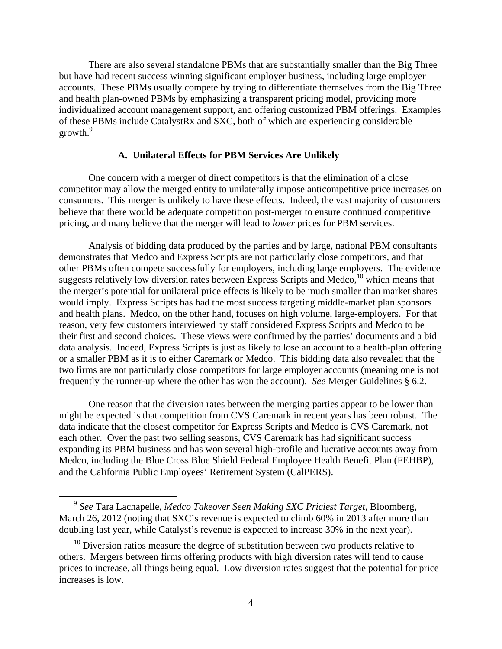There are also several standalone PBMs that are substantially smaller than the Big Three but have had recent success winning significant employer business, including large employer accounts. These PBMs usually compete by trying to differentiate themselves from the Big Three and health plan-owned PBMs by emphasizing a transparent pricing model, providing more individualized account management support, and offering customized PBM offerings. Examples of these PBMs include CatalystRx and SXC, both of which are experiencing considerable growth. $9$ 

#### **A. Unilateral Effects for PBM Services Are Unlikely**

One concern with a merger of direct competitors is that the elimination of a close competitor may allow the merged entity to unilaterally impose anticompetitive price increases on consumers. This merger is unlikely to have these effects. Indeed, the vast majority of customers believe that there would be adequate competition post-merger to ensure continued competitive pricing, and many believe that the merger will lead to *lower* prices for PBM services.

Analysis of bidding data produced by the parties and by large, national PBM consultants demonstrates that Medco and Express Scripts are not particularly close competitors, and that other PBMs often compete successfully for employers, including large employers. The evidence suggests relatively low diversion rates between Express Scripts and Medco,<sup>10</sup> which means that the merger's potential for unilateral price effects is likely to be much smaller than market shares would imply. Express Scripts has had the most success targeting middle-market plan sponsors and health plans. Medco, on the other hand, focuses on high volume, large-employers. For that reason, very few customers interviewed by staff considered Express Scripts and Medco to be their first and second choices. These views were confirmed by the parties' documents and a bid data analysis. Indeed, Express Scripts is just as likely to lose an account to a health-plan offering or a smaller PBM as it is to either Caremark or Medco. This bidding data also revealed that the two firms are not particularly close competitors for large employer accounts (meaning one is not frequently the runner-up where the other has won the account). *See* Merger Guidelines § 6.2.

One reason that the diversion rates between the merging parties appear to be lower than might be expected is that competition from CVS Caremark in recent years has been robust. The data indicate that the closest competitor for Express Scripts and Medco is CVS Caremark, not each other. Over the past two selling seasons, CVS Caremark has had significant success expanding its PBM business and has won several high-profile and lucrative accounts away from Medco, including the Blue Cross Blue Shield Federal Employee Health Benefit Plan (FEHBP), and the California Public Employees' Retirement System (CalPERS).

 <sup>9</sup> *See* Tara Lachapelle, *Medco Takeover Seen Making SXC Priciest Target*, Bloomberg, March 26, 2012 (noting that SXC's revenue is expected to climb 60% in 2013 after more than doubling last year, while Catalyst's revenue is expected to increase 30% in the next year).

 $10$  Diversion ratios measure the degree of substitution between two products relative to others. Mergers between firms offering products with high diversion rates will tend to cause prices to increase, all things being equal. Low diversion rates suggest that the potential for price increases is low.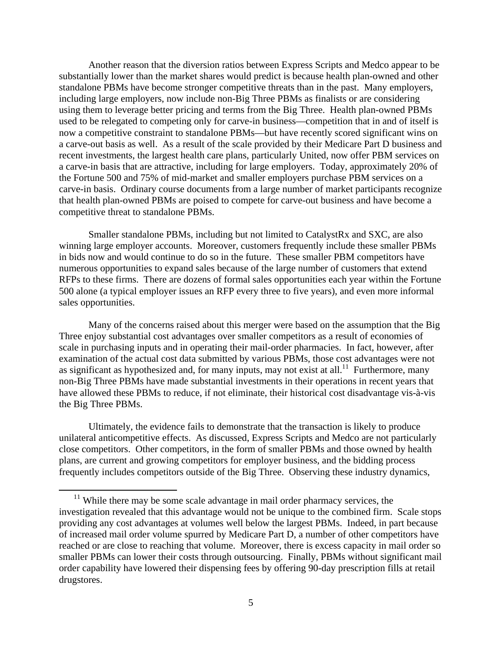Another reason that the diversion ratios between Express Scripts and Medco appear to be substantially lower than the market shares would predict is because health plan-owned and other standalone PBMs have become stronger competitive threats than in the past. Many employers, including large employers, now include non-Big Three PBMs as finalists or are considering using them to leverage better pricing and terms from the Big Three. Health plan-owned PBMs used to be relegated to competing only for carve-in business—competition that in and of itself is now a competitive constraint to standalone PBMs—but have recently scored significant wins on a carve-out basis as well. As a result of the scale provided by their Medicare Part D business and recent investments, the largest health care plans, particularly United, now offer PBM services on a carve-in basis that are attractive, including for large employers. Today, approximately 20% of the Fortune 500 and 75% of mid-market and smaller employers purchase PBM services on a carve-in basis. Ordinary course documents from a large number of market participants recognize that health plan-owned PBMs are poised to compete for carve-out business and have become a competitive threat to standalone PBMs.

Smaller standalone PBMs, including but not limited to CatalystRx and SXC, are also winning large employer accounts. Moreover, customers frequently include these smaller PBMs in bids now and would continue to do so in the future. These smaller PBM competitors have numerous opportunities to expand sales because of the large number of customers that extend RFPs to these firms. There are dozens of formal sales opportunities each year within the Fortune 500 alone (a typical employer issues an RFP every three to five years), and even more informal sales opportunities.

Many of the concerns raised about this merger were based on the assumption that the Big Three enjoy substantial cost advantages over smaller competitors as a result of economies of scale in purchasing inputs and in operating their mail-order pharmacies. In fact, however, after examination of the actual cost data submitted by various PBMs, those cost advantages were not as significant as hypothesized and, for many inputs, may not exist at all.<sup>11</sup> Furthermore, many non-Big Three PBMs have made substantial investments in their operations in recent years that have allowed these PBMs to reduce, if not eliminate, their historical cost disadvantage vis-à-vis the Big Three PBMs.

Ultimately, the evidence fails to demonstrate that the transaction is likely to produce unilateral anticompetitive effects. As discussed, Express Scripts and Medco are not particularly close competitors. Other competitors, in the form of smaller PBMs and those owned by health plans, are current and growing competitors for employer business, and the bidding process frequently includes competitors outside of the Big Three. Observing these industry dynamics,

 $11$  While there may be some scale advantage in mail order pharmacy services, the investigation revealed that this advantage would not be unique to the combined firm. Scale stops providing any cost advantages at volumes well below the largest PBMs. Indeed, in part because of increased mail order volume spurred by Medicare Part D, a number of other competitors have reached or are close to reaching that volume. Moreover, there is excess capacity in mail order so smaller PBMs can lower their costs through outsourcing. Finally, PBMs without significant mail order capability have lowered their dispensing fees by offering 90-day prescription fills at retail drugstores.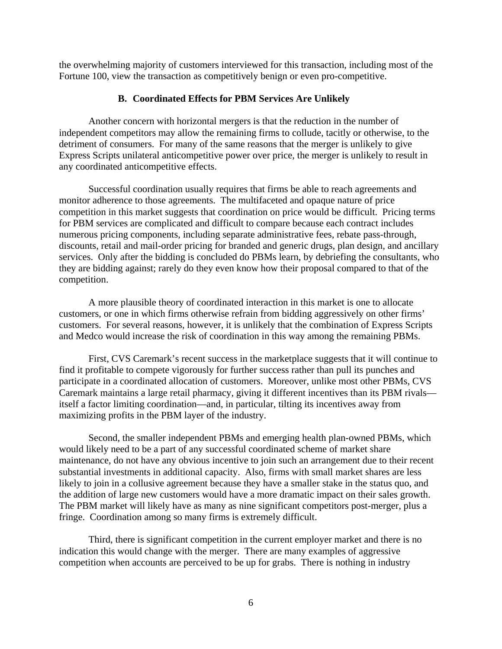the overwhelming majority of customers interviewed for this transaction, including most of the Fortune 100, view the transaction as competitively benign or even pro-competitive.

## **B. Coordinated Effects for PBM Services Are Unlikely**

Another concern with horizontal mergers is that the reduction in the number of independent competitors may allow the remaining firms to collude, tacitly or otherwise, to the detriment of consumers. For many of the same reasons that the merger is unlikely to give Express Scripts unilateral anticompetitive power over price, the merger is unlikely to result in any coordinated anticompetitive effects.

Successful coordination usually requires that firms be able to reach agreements and monitor adherence to those agreements. The multifaceted and opaque nature of price competition in this market suggests that coordination on price would be difficult. Pricing terms for PBM services are complicated and difficult to compare because each contract includes numerous pricing components, including separate administrative fees, rebate pass-through, discounts, retail and mail-order pricing for branded and generic drugs, plan design, and ancillary services. Only after the bidding is concluded do PBMs learn, by debriefing the consultants, who they are bidding against; rarely do they even know how their proposal compared to that of the competition.

A more plausible theory of coordinated interaction in this market is one to allocate customers, or one in which firms otherwise refrain from bidding aggressively on other firms' customers. For several reasons, however, it is unlikely that the combination of Express Scripts and Medco would increase the risk of coordination in this way among the remaining PBMs.

First, CVS Caremark's recent success in the marketplace suggests that it will continue to find it profitable to compete vigorously for further success rather than pull its punches and participate in a coordinated allocation of customers. Moreover, unlike most other PBMs, CVS Caremark maintains a large retail pharmacy, giving it different incentives than its PBM rivals itself a factor limiting coordination—and, in particular, tilting its incentives away from maximizing profits in the PBM layer of the industry.

Second, the smaller independent PBMs and emerging health plan-owned PBMs, which would likely need to be a part of any successful coordinated scheme of market share maintenance, do not have any obvious incentive to join such an arrangement due to their recent substantial investments in additional capacity. Also, firms with small market shares are less likely to join in a collusive agreement because they have a smaller stake in the status quo, and the addition of large new customers would have a more dramatic impact on their sales growth. The PBM market will likely have as many as nine significant competitors post-merger, plus a fringe. Coordination among so many firms is extremely difficult.

Third, there is significant competition in the current employer market and there is no indication this would change with the merger. There are many examples of aggressive competition when accounts are perceived to be up for grabs. There is nothing in industry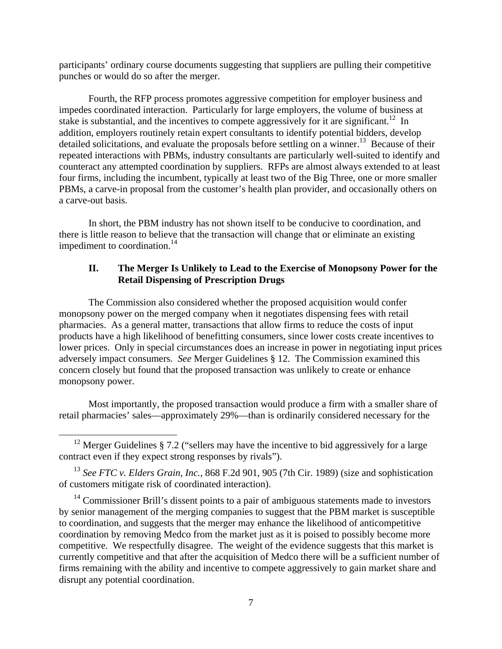participants' ordinary course documents suggesting that suppliers are pulling their competitive punches or would do so after the merger.

Fourth, the RFP process promotes aggressive competition for employer business and impedes coordinated interaction. Particularly for large employers, the volume of business at stake is substantial, and the incentives to compete aggressively for it are significant.<sup>12</sup> In addition, employers routinely retain expert consultants to identify potential bidders, develop detailed solicitations, and evaluate the proposals before settling on a winner.<sup>13</sup> Because of their repeated interactions with PBMs, industry consultants are particularly well-suited to identify and counteract any attempted coordination by suppliers. RFPs are almost always extended to at least four firms, including the incumbent, typically at least two of the Big Three, one or more smaller PBMs, a carve-in proposal from the customer's health plan provider, and occasionally others on a carve-out basis.

In short, the PBM industry has not shown itself to be conducive to coordination, and there is little reason to believe that the transaction will change that or eliminate an existing impediment to coordination. $^{14}$ 

# **II. The Merger Is Unlikely to Lead to the Exercise of Monopsony Power for the Retail Dispensing of Prescription Drugs**

 The Commission also considered whether the proposed acquisition would confer monopsony power on the merged company when it negotiates dispensing fees with retail pharmacies. As a general matter, transactions that allow firms to reduce the costs of input products have a high likelihood of benefitting consumers, since lower costs create incentives to lower prices. Only in special circumstances does an increase in power in negotiating input prices adversely impact consumers. *See* Merger Guidelines § 12. The Commission examined this concern closely but found that the proposed transaction was unlikely to create or enhance monopsony power.

Most importantly, the proposed transaction would produce a firm with a smaller share of retail pharmacies' sales—approximately 29%—than is ordinarily considered necessary for the

<sup>&</sup>lt;sup>12</sup> Merger Guidelines § 7.2 ("sellers may have the incentive to bid aggressively for a large contract even if they expect strong responses by rivals").

<sup>&</sup>lt;sup>13</sup> See FTC v. Elders Grain, Inc., 868 F.2d 901, 905 (7th Cir. 1989) (size and sophistication of customers mitigate risk of coordinated interaction).

<sup>&</sup>lt;sup>14</sup> Commissioner Brill's dissent points to a pair of ambiguous statements made to investors by senior management of the merging companies to suggest that the PBM market is susceptible to coordination, and suggests that the merger may enhance the likelihood of anticompetitive coordination by removing Medco from the market just as it is poised to possibly become more competitive. We respectfully disagree. The weight of the evidence suggests that this market is currently competitive and that after the acquisition of Medco there will be a sufficient number of firms remaining with the ability and incentive to compete aggressively to gain market share and disrupt any potential coordination.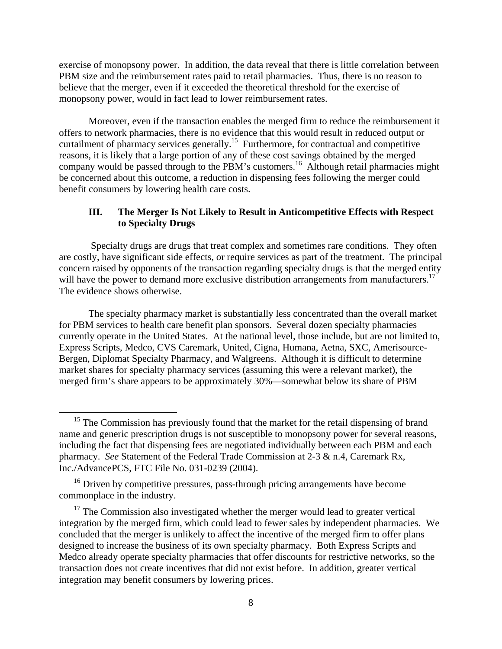exercise of monopsony power. In addition, the data reveal that there is little correlation between PBM size and the reimbursement rates paid to retail pharmacies. Thus, there is no reason to believe that the merger, even if it exceeded the theoretical threshold for the exercise of monopsony power, would in fact lead to lower reimbursement rates.

Moreover, even if the transaction enables the merged firm to reduce the reimbursement it offers to network pharmacies, there is no evidence that this would result in reduced output or curtailment of pharmacy services generally.<sup>15</sup> Furthermore, for contractual and competitive reasons, it is likely that a large portion of any of these cost savings obtained by the merged company would be passed through to the PBM's customers.<sup>16</sup> Although retail pharmacies might be concerned about this outcome, a reduction in dispensing fees following the merger could benefit consumers by lowering health care costs.

# **III. The Merger Is Not Likely to Result in Anticompetitive Effects with Respect to Specialty Drugs**

 Specialty drugs are drugs that treat complex and sometimes rare conditions. They often are costly, have significant side effects, or require services as part of the treatment. The principal concern raised by opponents of the transaction regarding specialty drugs is that the merged entity will have the power to demand more exclusive distribution arrangements from manufacturers.<sup>17</sup> The evidence shows otherwise.

The specialty pharmacy market is substantially less concentrated than the overall market for PBM services to health care benefit plan sponsors. Several dozen specialty pharmacies currently operate in the United States. At the national level, those include, but are not limited to, Express Scripts, Medco, CVS Caremark, United, Cigna, Humana, Aetna, SXC, Amerisource-Bergen, Diplomat Specialty Pharmacy, and Walgreens. Although it is difficult to determine market shares for specialty pharmacy services (assuming this were a relevant market), the merged firm's share appears to be approximately 30%—somewhat below its share of PBM

<sup>&</sup>lt;sup>15</sup> The Commission has previously found that the market for the retail dispensing of brand name and generic prescription drugs is not susceptible to monopsony power for several reasons, including the fact that dispensing fees are negotiated individually between each PBM and each pharmacy. *See* Statement of the Federal Trade Commission at 2-3 & n.4, Caremark Rx, Inc./AdvancePCS, FTC File No. 031-0239 (2004).

<sup>&</sup>lt;sup>16</sup> Driven by competitive pressures, pass-through pricing arrangements have become commonplace in the industry.

 $17$  The Commission also investigated whether the merger would lead to greater vertical integration by the merged firm, which could lead to fewer sales by independent pharmacies. We concluded that the merger is unlikely to affect the incentive of the merged firm to offer plans designed to increase the business of its own specialty pharmacy. Both Express Scripts and Medco already operate specialty pharmacies that offer discounts for restrictive networks, so the transaction does not create incentives that did not exist before. In addition, greater vertical integration may benefit consumers by lowering prices.